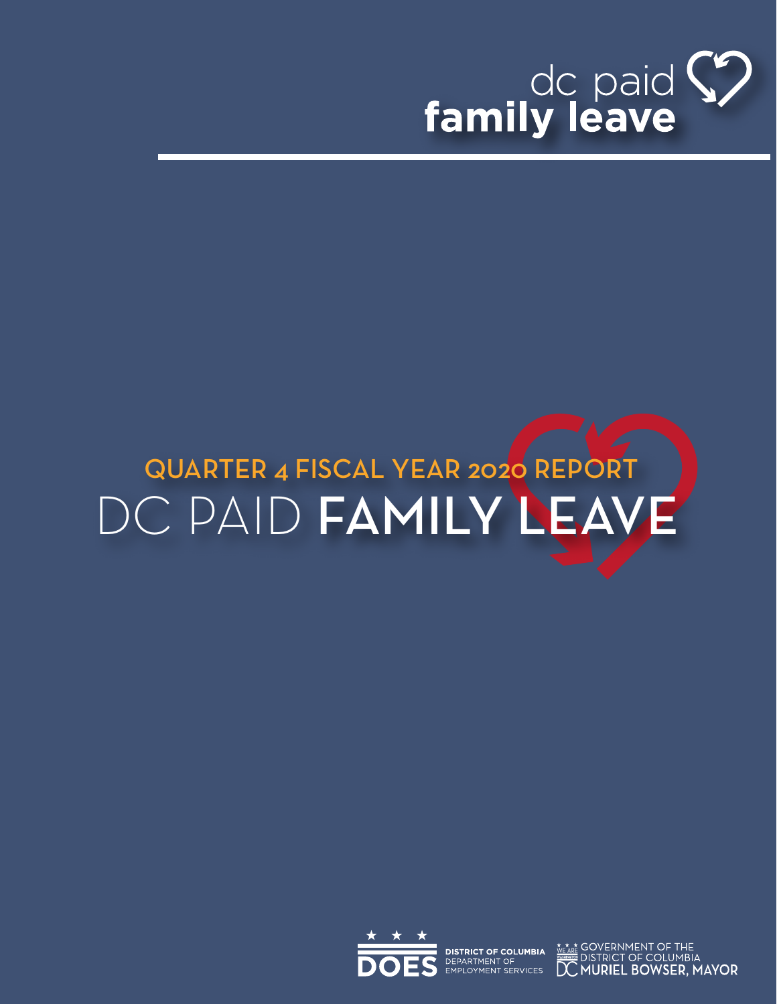

# DC PAID FAMILY LEAVE QUARTER 4 FISCAL YEAR 2020 REPORT



**DISTRICT OF COLUMBIA** DEPARTMENT OF EMPLOYMENT SERVICES

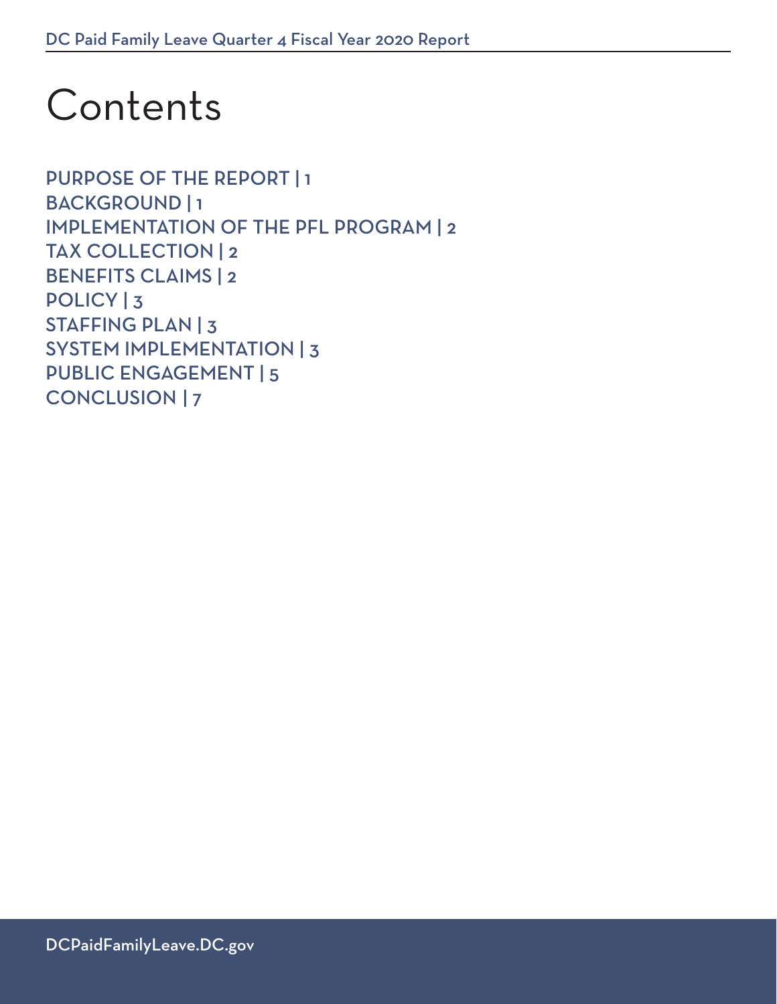# Contents

[PURPOSE OF THE REPORT](#page-2-0) | 1 [BACKGROUND |](#page-2-0) 1 [IMPLEMENTATION OF THE PFL PROGRAM](#page-3-0) | 2 [TAX COLLECTION](#page-3-0) | 2 [BENEFITS CLAIMS](#page-3-0) | 2 [POLICY](#page-4-0) | 3 [STAFFING PLAN](#page-4-0) | 3 [SYSTEM IMPLEMENTATION |](#page-4-0) 3 [PUBLIC ENGAGEMENT](#page-6-0) | 5 [CONCLUSION](#page-8-0) | 7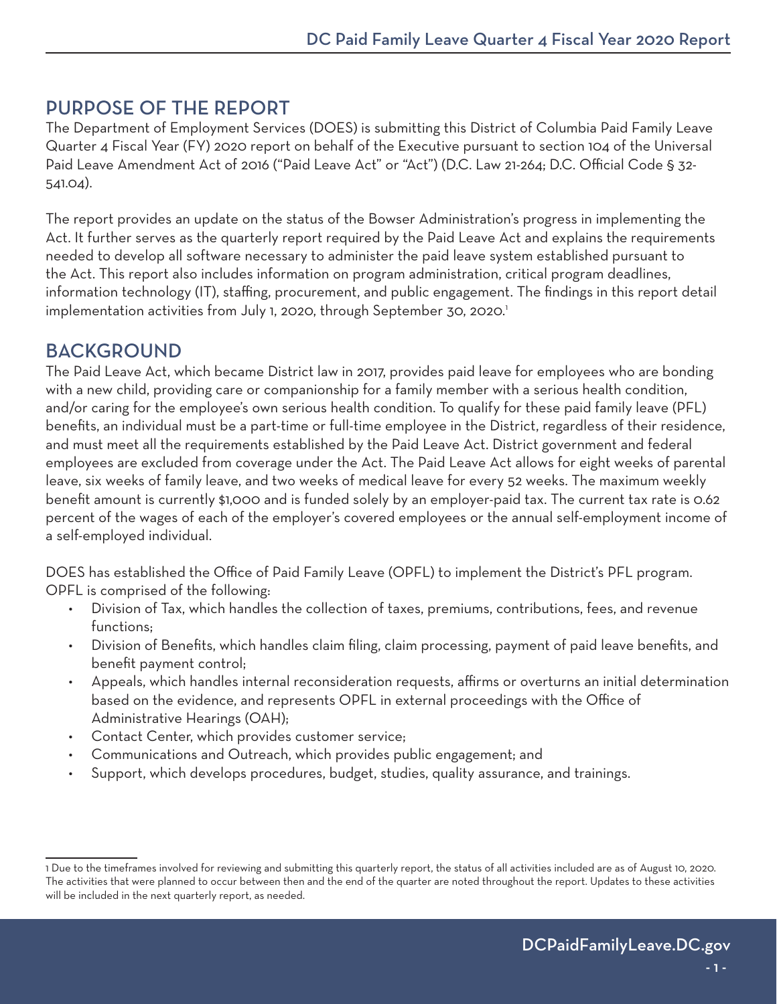## <span id="page-2-0"></span>PURPOSE OF THE REPORT

The Department of Employment Services (DOES) is submitting this District of Columbia Paid Family Leave Quarter 4 Fiscal Year (FY) 2020 report on behalf of the Executive pursuant to section 104 of the Universal Paid Leave Amendment Act of 2016 ("Paid Leave Act" or "Act") (D.C. Law 21-264; D.C. Official Code § 32- 541.04).

The report provides an update on the status of the Bowser Administration's progress in implementing the Act. It further serves as the quarterly report required by the Paid Leave Act and explains the requirements needed to develop all software necessary to administer the paid leave system established pursuant to the Act. This report also includes information on program administration, critical program deadlines, information technology (IT), staffing, procurement, and public engagement. The findings in this report detail implementation activities from July 1, 2020, through September 30, 2020.<sup>1</sup>

## BACKGROUND

The Paid Leave Act, which became District law in 2017, provides paid leave for employees who are bonding with a new child, providing care or companionship for a family member with a serious health condition, and/or caring for the employee's own serious health condition. To qualify for these paid family leave (PFL) benefits, an individual must be a part-time or full-time employee in the District, regardless of their residence, and must meet all the requirements established by the Paid Leave Act. District government and federal employees are excluded from coverage under the Act. The Paid Leave Act allows for eight weeks of parental leave, six weeks of family leave, and two weeks of medical leave for every 52 weeks. The maximum weekly benefit amount is currently \$1,000 and is funded solely by an employer-paid tax. The current tax rate is 0.62 percent of the wages of each of the employer's covered employees or the annual self-employment income of a self-employed individual.

DOES has established the Office of Paid Family Leave (OPFL) to implement the District's PFL program. OPFL is comprised of the following:

- Division of Tax, which handles the collection of taxes, premiums, contributions, fees, and revenue functions;
- Division of Benefits, which handles claim filing, claim processing, payment of paid leave benefits, and benefit payment control;
- Appeals, which handles internal reconsideration requests, affirms or overturns an initial determination based on the evidence, and represents OPFL in external proceedings with the Office of Administrative Hearings (OAH);
- Contact Center, which provides customer service;
- Communications and Outreach, which provides public engagement; and
- Support, which develops procedures, budget, studies, quality assurance, and trainings.

<sup>1</sup> Due to the timeframes involved for reviewing and submitting this quarterly report, the status of all activities included are as of August 10, 2020. The activities that were planned to occur between then and the end of the quarter are noted throughout the report. Updates to these activities will be included in the next quarterly report, as needed.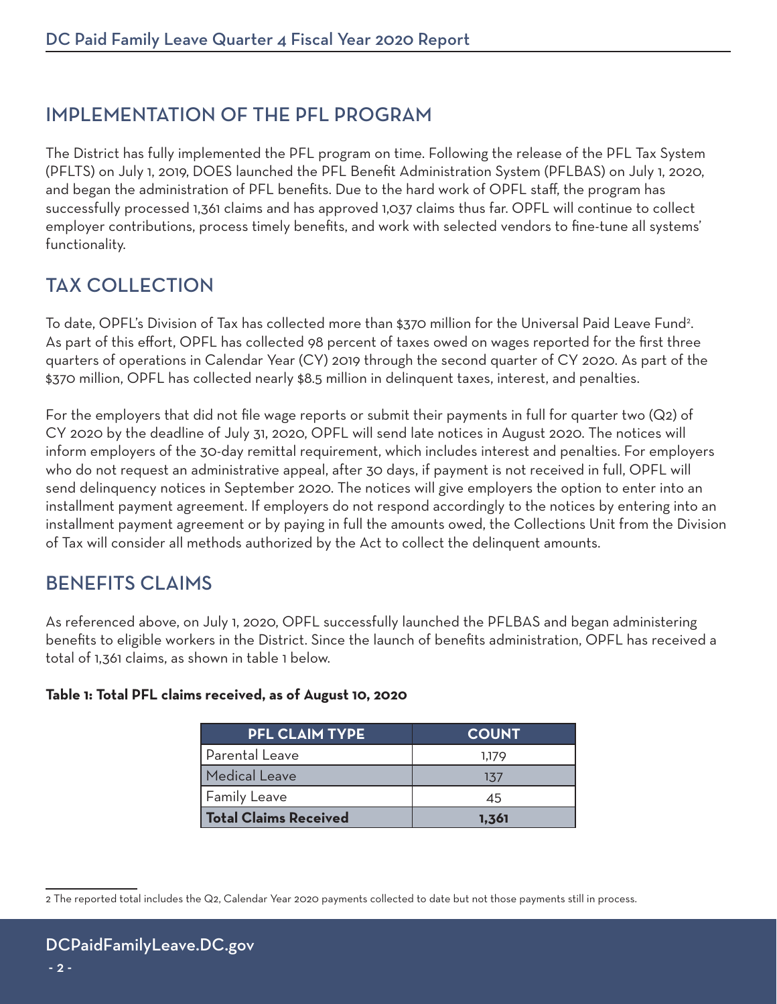## <span id="page-3-0"></span>IMPLEMENTATION OF THE PFL PROGRAM

The District has fully implemented the PFL program on time. Following the release of the PFL Tax System (PFLTS) on July 1, 2019, DOES launched the PFL Benefit Administration System (PFLBAS) on July 1, 2020, and began the administration of PFL benefits. Due to the hard work of OPFL staff, the program has successfully processed 1,361 claims and has approved 1,037 claims thus far. OPFL will continue to collect employer contributions, process timely benefits, and work with selected vendors to fine-tune all systems' functionality.

# TAX COLLECTION

To date, OPFL's Division of Tax has collected more than \$370 million for the Universal Paid Leave Fund<sup>2</sup>. As part of this effort, OPFL has collected 98 percent of taxes owed on wages reported for the first three quarters of operations in Calendar Year (CY) 2019 through the second quarter of CY 2020. As part of the \$370 million, OPFL has collected nearly \$8.5 million in delinquent taxes, interest, and penalties.

For the employers that did not file wage reports or submit their payments in full for quarter two (Q2) of CY 2020 by the deadline of July 31, 2020, OPFL will send late notices in August 2020. The notices will inform employers of the 30-day remittal requirement, which includes interest and penalties. For employers who do not request an administrative appeal, after 30 days, if payment is not received in full, OPFL will send delinquency notices in September 2020. The notices will give employers the option to enter into an installment payment agreement. If employers do not respond accordingly to the notices by entering into an installment payment agreement or by paying in full the amounts owed, the Collections Unit from the Division of Tax will consider all methods authorized by the Act to collect the delinquent amounts.

# BENEFITS CLAIMS

As referenced above, on July 1, 2020, OPFL successfully launched the PFLBAS and began administering benefits to eligible workers in the District. Since the launch of benefits administration, OPFL has received a total of 1,361 claims, as shown in table 1 below.

#### **Table 1: Total PFL claims received, as of August 10, 2020**

| <b>PFL CLAIM TYPE</b> | <b>COUNT</b> |
|-----------------------|--------------|
| Parental Leave        | 1,179        |
| <b>Medical Leave</b>  | 137          |
| Family Leave          | 45           |
| Total Claims Received | 1,361        |

<sup>2</sup> The reported total includes the Q2, Calendar Year 2020 payments collected to date but not those payments still in process.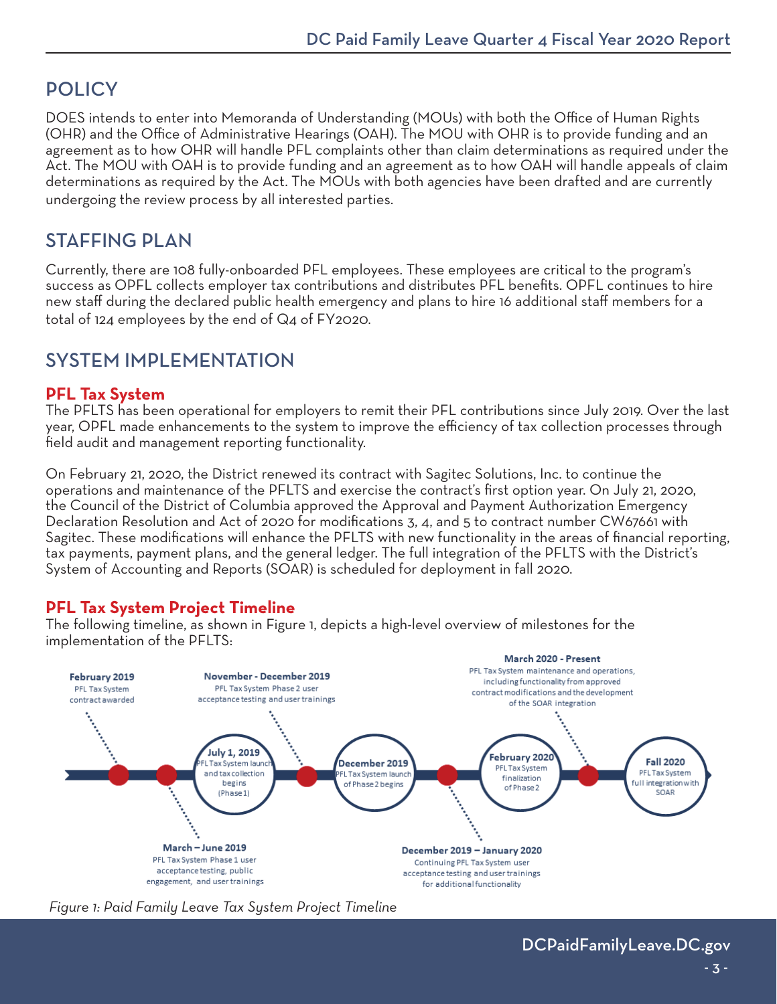# <span id="page-4-0"></span>**POLICY**

DOES intends to enter into Memoranda of Understanding (MOUs) with both the Office of Human Rights (OHR) and the Office of Administrative Hearings (OAH). The MOU with OHR is to provide funding and an agreement as to how OHR will handle PFL complaints other than claim determinations as required under the Act. The MOU with OAH is to provide funding and an agreement as to how OAH will handle appeals of claim determinations as required by the Act. The MOUs with both agencies have been drafted and are currently undergoing the review process by all interested parties.

## STAFFING PLAN

Currently, there are 108 fully-onboarded PFL employees. These employees are critical to the program's success as OPFL collects employer tax contributions and distributes PFL benefits. OPFL continues to hire new staff during the declared public health emergency and plans to hire 16 additional staff members for a total of 124 employees by the end of Q4 of FY2020.

# SYSTEM IMPI EMENTATION

#### **PFL Tax System**

The PFLTS has been operational for employers to remit their PFL contributions since July 2019. Over the last year, OPFL made enhancements to the system to improve the efficiency of tax collection processes through field audit and management reporting functionality.

On February 21, 2020, the District renewed its contract with Sagitec Solutions, Inc. to continue the operations and maintenance of the PFLTS and exercise the contract's first option year. On July 21, 2020, the Council of the District of Columbia approved the Approval and Payment Authorization Emergency Declaration Resolution and Act of 2020 for modifications 3, 4, and 5 to contract number CW67661 with Sagitec. These modifications will enhance the PFLTS with new functionality in the areas of financial reporting, tax payments, payment plans, and the general ledger. The full integration of the PFLTS with the District's System of Accounting and Reports (SOAR) is scheduled for deployment in fall 2020.

## **PFL Tax System Project Timeline**

The following timeline, as shown in Figure 1, depicts a high-level overview of milestones for the implementation of the PFLTS:



 *Figure 1: Paid Family Leave Tax System Project Timeline*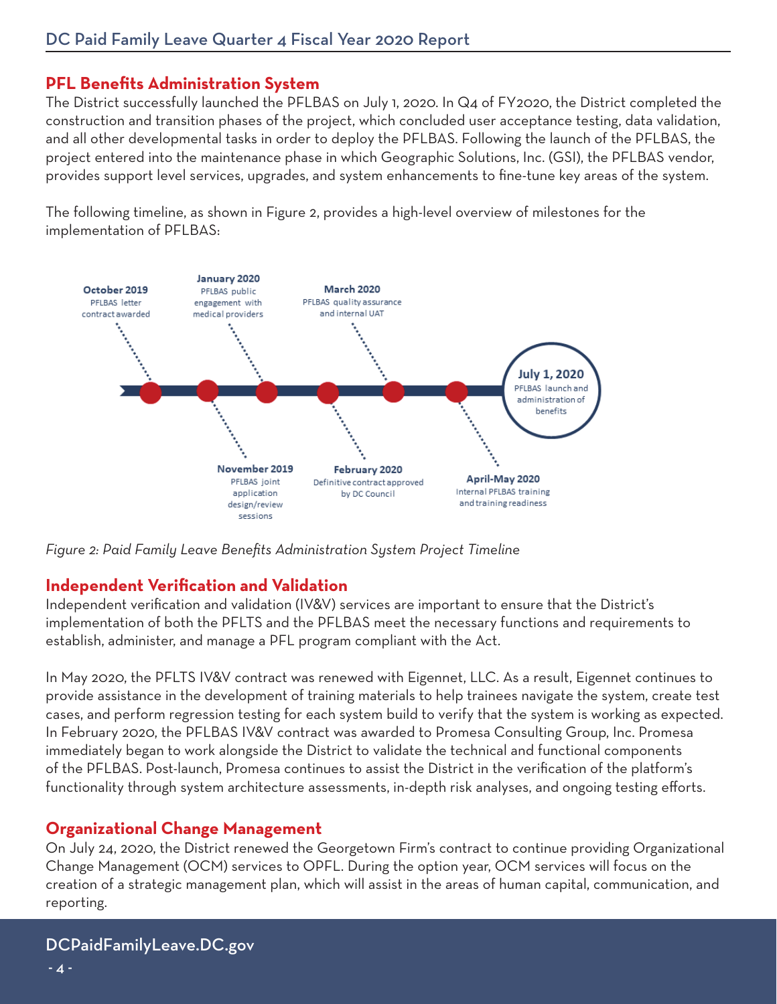## **PFL Benefits Administration System**

The District successfully launched the PFLBAS on July 1, 2020. In Q4 of FY2020, the District completed the construction and transition phases of the project, which concluded user acceptance testing, data validation, and all other developmental tasks in order to deploy the PFLBAS. Following the launch of the PFLBAS, the project entered into the maintenance phase in which Geographic Solutions, Inc. (GSI), the PFLBAS vendor, provides support level services, upgrades, and system enhancements to fine-tune key areas of the system.

The following timeline, as shown in Figure 2, provides a high-level overview of milestones for the implementation of PFLBAS:



*Figure 2: Paid Family Leave Benefits Administration System Project Timeline*

## **Independent Verification and Validation**

Independent verification and validation (IV&V) services are important to ensure that the District's implementation of both the PFLTS and the PFLBAS meet the necessary functions and requirements to establish, administer, and manage a PFL program compliant with the Act.

In May 2020, the PFLTS IV&V contract was renewed with Eigennet, LLC. As a result, Eigennet continues to provide assistance in the development of training materials to help trainees navigate the system, create test cases, and perform regression testing for each system build to verify that the system is working as expected. In February 2020, the PFLBAS IV&V contract was awarded to Promesa Consulting Group, Inc. Promesa immediately began to work alongside the District to validate the technical and functional components of the PFLBAS. Post-launch, Promesa continues to assist the District in the verification of the platform's functionality through system architecture assessments, in-depth risk analyses, and ongoing testing efforts.

## **Organizational Change Management**

On July 24, 2020, the District renewed the Georgetown Firm's contract to continue providing Organizational Change Management (OCM) services to OPFL. During the option year, OCM services will focus on the creation of a strategic management plan, which will assist in the areas of human capital, communication, and reporting.

## [DCPaidFamilyLeave.DC.gov](https://dcpaidfamilyleave.dc.gov/)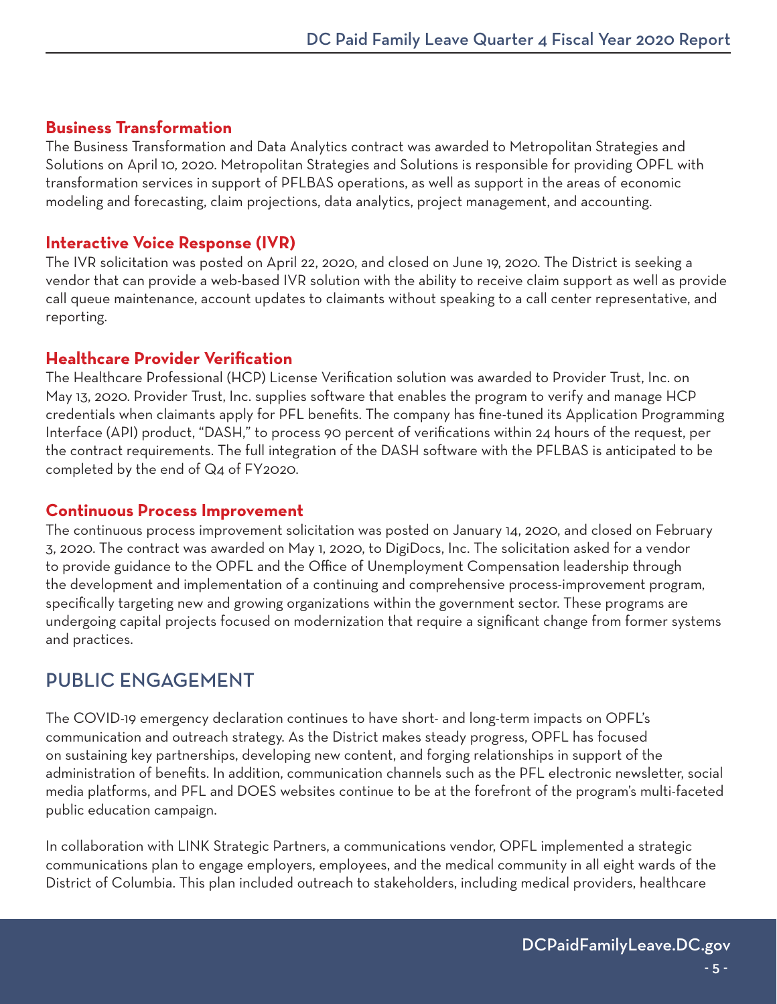## <span id="page-6-0"></span>**Business Transformation**

The Business Transformation and Data Analytics contract was awarded to Metropolitan Strategies and Solutions on April 10, 2020. Metropolitan Strategies and Solutions is responsible for providing OPFL with transformation services in support of PFLBAS operations, as well as support in the areas of economic modeling and forecasting, claim projections, data analytics, project management, and accounting.

## **Interactive Voice Response (IVR)**

The IVR solicitation was posted on April 22, 2020, and closed on June 19, 2020. The District is seeking a vendor that can provide a web-based IVR solution with the ability to receive claim support as well as provide call queue maintenance, account updates to claimants without speaking to a call center representative, and reporting.

#### **Healthcare Provider Verification**

The Healthcare Professional (HCP) License Verification solution was awarded to Provider Trust, Inc. on May 13, 2020. Provider Trust, Inc. supplies software that enables the program to verify and manage HCP credentials when claimants apply for PFL benefits. The company has fine-tuned its Application Programming Interface (API) product, "DASH," to process 90 percent of verifications within 24 hours of the request, per the contract requirements. The full integration of the DASH software with the PFLBAS is anticipated to be completed by the end of Q4 of FY2020.

#### **Continuous Process Improvement**

The continuous process improvement solicitation was posted on January 14, 2020, and closed on February 3, 2020. The contract was awarded on May 1, 2020, to DigiDocs, Inc. The solicitation asked for a vendor to provide guidance to the OPFL and the Office of Unemployment Compensation leadership through the development and implementation of a continuing and comprehensive process-improvement program, specifically targeting new and growing organizations within the government sector. These programs are undergoing capital projects focused on modernization that require a significant change from former systems and practices.

# PUBLIC ENGAGEMENT

The COVID-19 emergency declaration continues to have short- and long-term impacts on OPFL's communication and outreach strategy. As the District makes steady progress, OPFL has focused on sustaining key partnerships, developing new content, and forging relationships in support of the administration of benefits. In addition, communication channels such as the PFL electronic newsletter, social media platforms, and PFL and DOES websites continue to be at the forefront of the program's multi-faceted public education campaign.

In collaboration with LINK Strategic Partners, a communications vendor, OPFL implemented a strategic communications plan to engage employers, employees, and the medical community in all eight wards of the District of Columbia. This plan included outreach to stakeholders, including medical providers, healthcare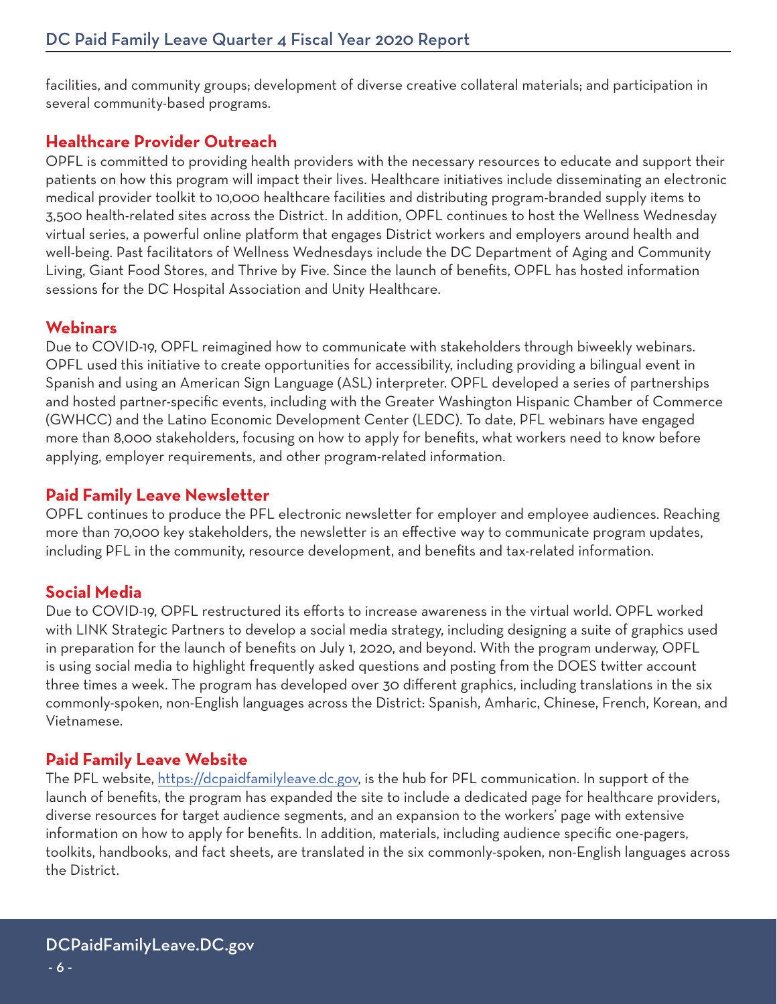facilities, and community groups; development of diverse creative collateral materials; and participation in several community-based programs.

## **Healthcare Provider Outreach**

OPFL is committed to providing health providers with the necessary resources to educate and support their patients on how this program will impact their lives. Healthcare initiatives include disseminating an electronic medical provider toolkit to 10,000 healthcare facilities and distributing program-branded supply items to 3,500 health-related sites across the District. In addition, OPFL continues to host the Wellness Wednesday virtual series, a powerful online platform that engages District workers and employers around health and well-being. Past facilitators of Wellness Wednesdays include the DC Department of Aging and Community Living, Giant Food Stores, and Thrive by Five. Since the launch of benefits, OPFL has hosted information sessions for the DC Hospital Association and Unity Healthcare.

#### **Webinars**

Due to COVID-19, OPFL reimagined how to communicate with stakeholders through biweekly webinars. OPFL used this initiative to create opportunities for accessibility, including providing a bilingual event in Spanish and using an American Sign Language (ASL) interpreter. OPFL developed a series of partnerships and hosted partner-specific events, including with the Greater Washington Hispanic Chamber of Commerce (GWHCC) and the Latino Economic Development Center (LEDC). To date, PFL webinars have engaged more than 8,000 stakeholders, focusing on how to apply for benefits, what workers need to know before applying, employer requirements, and other program-related information.

#### **Paid Family Leave Newsletter**

OPFL continues to produce the PFL electronic newsletter for employer and employee audiences. Reaching more than 70,000 key stakeholders, the newsletter is an effective way to communicate program updates, including PFL in the community, resource development, and benefits and tax-related information.

## **Social Media**

Due to COVID-19, OPFL restructured its efforts to increase awareness in the virtual world. OPFL worked with LINK Strategic Partners to develop a social media strategy, including designing a suite of graphics used in preparation for the launch of benefits on July 1, 2020, and beyond. With the program underway, OPFL is using social media to highlight frequently asked questions and posting from the DOES twitter account three times a week. The program has developed over 30 different graphics, including translations in the six commonly-spoken, non-English languages across the District: Spanish, Amharic, Chinese, French, Korean, and Vietnamese.

## **Paid Family Leave Website**

The PFL website,<https://dcpaidfamilyleave.dc.gov>, is the hub for PFL communication. In support of the launch of benefits, the program has expanded the site to include a dedicated page for healthcare providers, diverse resources for target audience segments, and an expansion to the workers' page with extensive information on how to apply for benefits. In addition, materials, including audience specific one-pagers, toolkits, handbooks, and fact sheets, are translated in the six commonly-spoken, non-English languages across the District.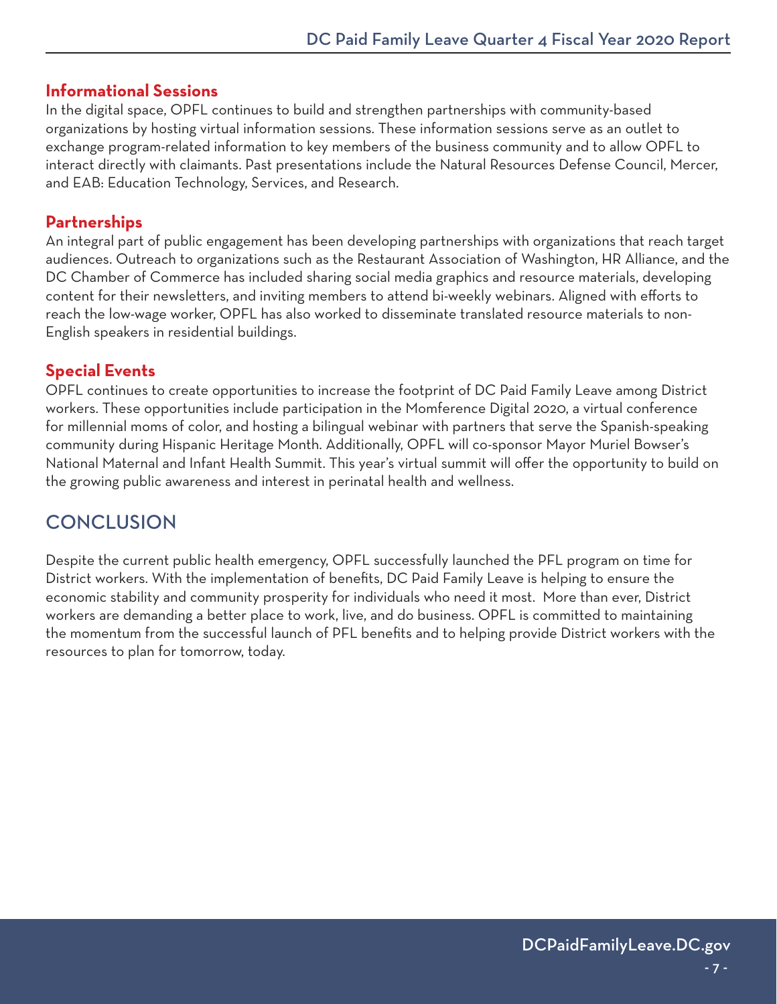#### <span id="page-8-0"></span>**Informational Sessions**

In the digital space, OPFL continues to build and strengthen partnerships with community-based organizations by hosting virtual information sessions. These information sessions serve as an outlet to exchange program-related information to key members of the business community and to allow OPFL to interact directly with claimants. Past presentations include the Natural Resources Defense Council, Mercer, and EAB: Education Technology, Services, and Research.

## **Partnerships**

An integral part of public engagement has been developing partnerships with organizations that reach target audiences. Outreach to organizations such as the Restaurant Association of Washington, HR Alliance, and the DC Chamber of Commerce has included sharing social media graphics and resource materials, developing content for their newsletters, and inviting members to attend bi-weekly webinars. Aligned with efforts to reach the low-wage worker, OPFL has also worked to disseminate translated resource materials to non-English speakers in residential buildings.

## **Special Events**

OPFL continues to create opportunities to increase the footprint of DC Paid Family Leave among District workers. These opportunities include participation in the Momference Digital 2020, a virtual conference for millennial moms of color, and hosting a bilingual webinar with partners that serve the Spanish-speaking community during Hispanic Heritage Month. Additionally, OPFL will co-sponsor Mayor Muriel Bowser's National Maternal and Infant Health Summit. This year's virtual summit will offer the opportunity to build on the growing public awareness and interest in perinatal health and wellness.

# **CONCLUSION**

Despite the current public health emergency, OPFL successfully launched the PFL program on time for District workers. With the implementation of benefits, DC Paid Family Leave is helping to ensure the economic stability and community prosperity for individuals who need it most. More than ever, District workers are demanding a better place to work, live, and do business. OPFL is committed to maintaining the momentum from the successful launch of PFL benefits and to helping provide District workers with the resources to plan for tomorrow, today.